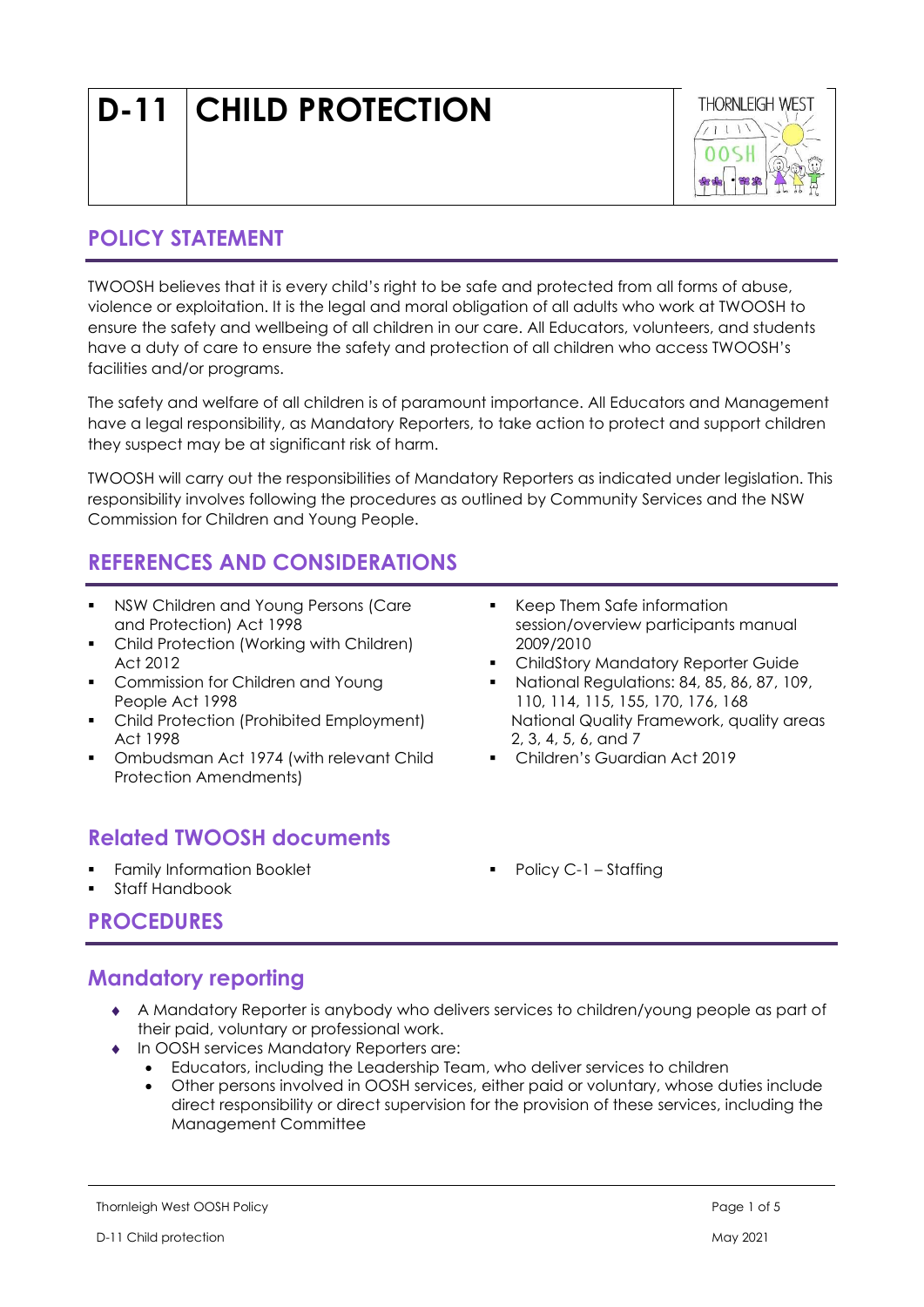# D-11 CHILD PROTECTION



## POLICY STATEMENT

TWOOSH believes that it is every child's right to be safe and protected from all forms of abuse, violence or exploitation. It is the legal and moral obligation of all adults who work at TWOOSH to ensure the safety and wellbeing of all children in our care. All Educators, volunteers, and students have a duty of care to ensure the safety and protection of all children who access TWOOSH's facilities and/or programs.

The safety and welfare of all children is of paramount importance. All Educators and Management have a legal responsibility, as Mandatory Reporters, to take action to protect and support children they suspect may be at significant risk of harm.

TWOOSH will carry out the responsibilities of Mandatory Reporters as indicated under legislation. This responsibility involves following the procedures as outlined by Community Services and the NSW Commission for Children and Young People.

## REFERENCES AND CONSIDERATIONS

- NSW Children and Young Persons (Care and Protection) Act 1998
- Child Protection (Working with Children) Act 2012
- **Commission for Children and Young** People Act 1998
- Child Protection (Prohibited Employment) Act 1998
- Ombudsman Act 1974 (with relevant Child Protection Amendments)

## Related TWOOSH documents

- **Family Information Booklet**
- Staff Handbook
- Keep Them Safe information session/overview participants manual 2009/2010
- ChildStory Mandatory Reporter Guide
- National Regulations: 84, 85, 86, 87, 109, 110, 114, 115, 155, 170, 176, 168 National Quality Framework, quality areas 2, 3, 4, 5, 6, and 7
- Children's Guardian Act 2019
- Policy C-1 Staffing

## PROCEDURES

## Mandatory reporting

- A Mandatory Reporter is anybody who delivers services to children/young people as part of their paid, voluntary or professional work.
- In OOSH services Mandatory Reporters are:
	- Educators, including the Leadership Team, who deliver services to children
	- Other persons involved in OOSH services, either paid or voluntary, whose duties include direct responsibility or direct supervision for the provision of these services, including the Management Committee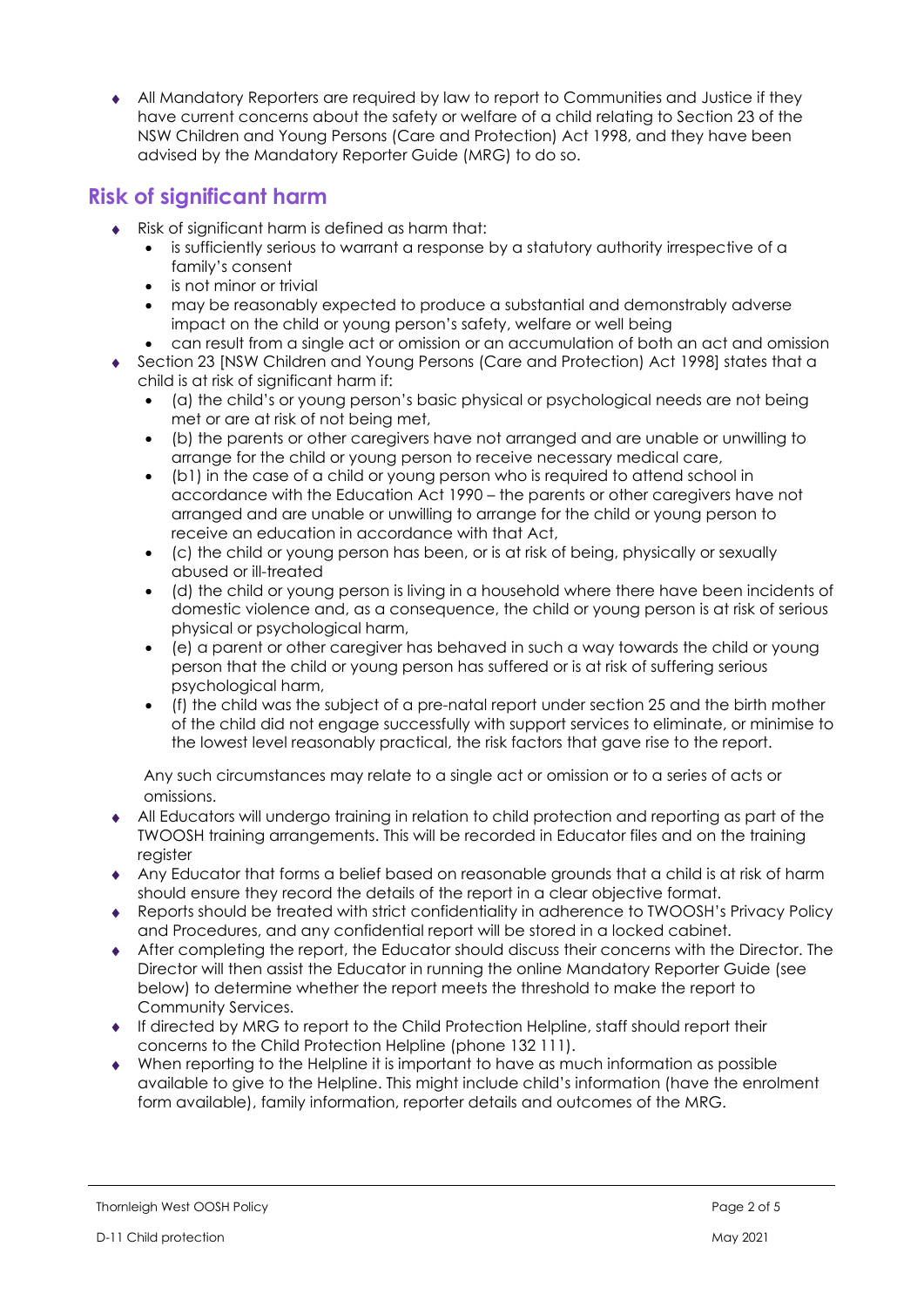All Mandatory Reporters are required by law to report to Communities and Justice if they have current concerns about the safety or welfare of a child relating to Section 23 of the NSW Children and Young Persons (Care and Protection) Act 1998, and they have been advised by the Mandatory Reporter Guide (MRG) to do so.

## Risk of significant harm

- Risk of significant harm is defined as harm that:
	- is sufficiently serious to warrant a response by a statutory authority irrespective of a family's consent
	- is not minor or trivial
	- may be reasonably expected to produce a substantial and demonstrably adverse impact on the child or young person's safety, welfare or well being
	- can result from a single act or omission or an accumulation of both an act and omission
- Section 23 [NSW Children and Young Persons (Care and Protection) Act 1998] states that a child is at risk of significant harm if:
	- (a) the child's or young person's basic physical or psychological needs are not being met or are at risk of not being met,
	- (b) the parents or other caregivers have not arranged and are unable or unwilling to arrange for the child or young person to receive necessary medical care,
	- (b1) in the case of a child or young person who is required to attend school in accordance with the Education Act 1990 – the parents or other caregivers have not arranged and are unable or unwilling to arrange for the child or young person to receive an education in accordance with that Act,
	- (c) the child or young person has been, or is at risk of being, physically or sexually abused or ill-treated
	- (d) the child or young person is living in a household where there have been incidents of domestic violence and, as a consequence, the child or young person is at risk of serious physical or psychological harm,
	- (e) a parent or other caregiver has behaved in such a way towards the child or young person that the child or young person has suffered or is at risk of suffering serious psychological harm,
	- (f) the child was the subject of a pre-natal report under section 25 and the birth mother of the child did not engage successfully with support services to eliminate, or minimise to the lowest level reasonably practical, the risk factors that gave rise to the report.

Any such circumstances may relate to a single act or omission or to a series of acts or omissions.

- All Educators will undergo training in relation to child protection and reporting as part of the TWOOSH training arrangements. This will be recorded in Educator files and on the training register
- Any Educator that forms a belief based on reasonable grounds that a child is at risk of harm should ensure they record the details of the report in a clear objective format.
- Reports should be treated with strict confidentiality in adherence to TWOOSH's Privacy Policy and Procedures, and any confidential report will be stored in a locked cabinet.
- After completing the report, the Educator should discuss their concerns with the Director. The Director will then assist the Educator in running the online Mandatory Reporter Guide (see below) to determine whether the report meets the threshold to make the report to Community Services.
- If directed by MRG to report to the Child Protection Helpline, staff should report their concerns to the Child Protection Helpline (phone 132 111).
- When reporting to the Helpline it is important to have as much information as possible available to give to the Helpline. This might include child's information (have the enrolment form available), family information, reporter details and outcomes of the MRG.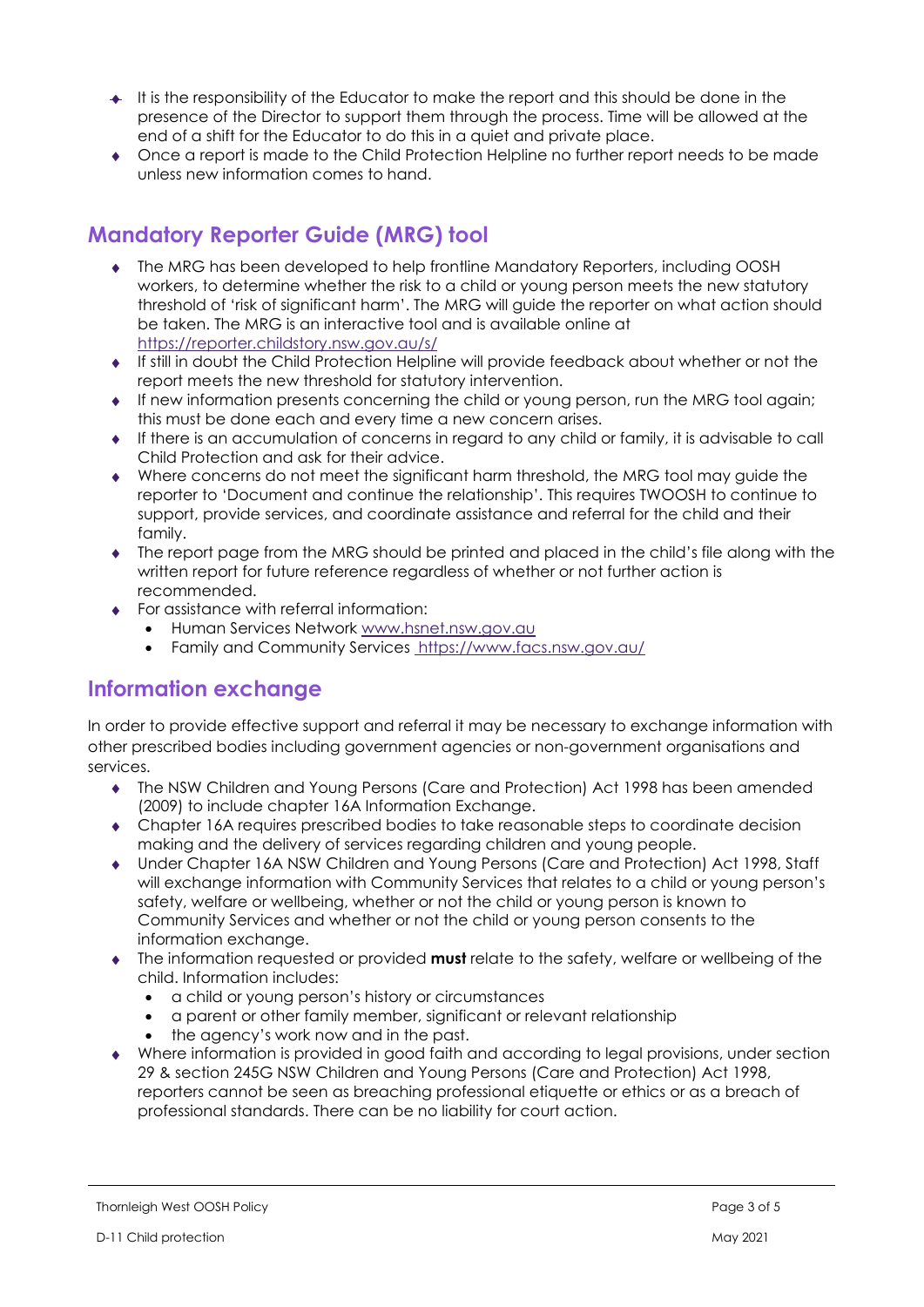- $\triangleq$  It is the responsibility of the Educator to make the report and this should be done in the presence of the Director to support them through the process. Time will be allowed at the end of a shift for the Educator to do this in a quiet and private place.
- Once a report is made to the Child Protection Helpline no further report needs to be made unless new information comes to hand.

# Mandatory Reporter Guide (MRG) tool

- The MRG has been developed to help frontline Mandatory Reporters, including OOSH workers, to determine whether the risk to a child or young person meets the new statutory threshold of 'risk of significant harm'. The MRG will guide the reporter on what action should be taken. The MRG is an interactive tool and is available online at https://reporter.childstory.nsw.gov.au/s/
- If still in doubt the Child Protection Helpline will provide feedback about whether or not the report meets the new threshold for statutory intervention.
- If new information presents concerning the child or young person, run the MRG tool again; this must be done each and every time a new concern arises.
- If there is an accumulation of concerns in regard to any child or family, it is advisable to call Child Protection and ask for their advice.
- Where concerns do not meet the significant harm threshold, the MRG tool may guide the reporter to 'Document and continue the relationship'. This requires TWOOSH to continue to support, provide services, and coordinate assistance and referral for the child and their family.
- The report page from the MRG should be printed and placed in the child's file along with the written report for future reference regardless of whether or not further action is recommended.
- ◆ For assistance with referral information:
	- Human Services Network www.hsnet.nsw.gov.au
	- Family and Community Services https://www.facs.nsw.gov.au/

## Information exchange

In order to provide effective support and referral it may be necessary to exchange information with other prescribed bodies including government agencies or non-government organisations and services.

- The NSW Children and Young Persons (Care and Protection) Act 1998 has been amended (2009) to include chapter 16A Information Exchange.
- Chapter 16A requires prescribed bodies to take reasonable steps to coordinate decision making and the delivery of services regarding children and young people.
- Under Chapter 16A NSW Children and Young Persons (Care and Protection) Act 1998, Staff will exchange information with Community Services that relates to a child or young person's safety, welfare or wellbeing, whether or not the child or young person is known to Community Services and whether or not the child or young person consents to the information exchange.
- $\bullet$  The information requested or provided must relate to the safety, welfare or wellbeing of the child. Information includes:
	- a child or young person's history or circumstances
	- a parent or other family member, significant or relevant relationship
	- the agency's work now and in the past.
- Where information is provided in good faith and according to legal provisions, under section 29 & section 245G NSW Children and Young Persons (Care and Protection) Act 1998, reporters cannot be seen as breaching professional etiquette or ethics or as a breach of professional standards. There can be no liability for court action.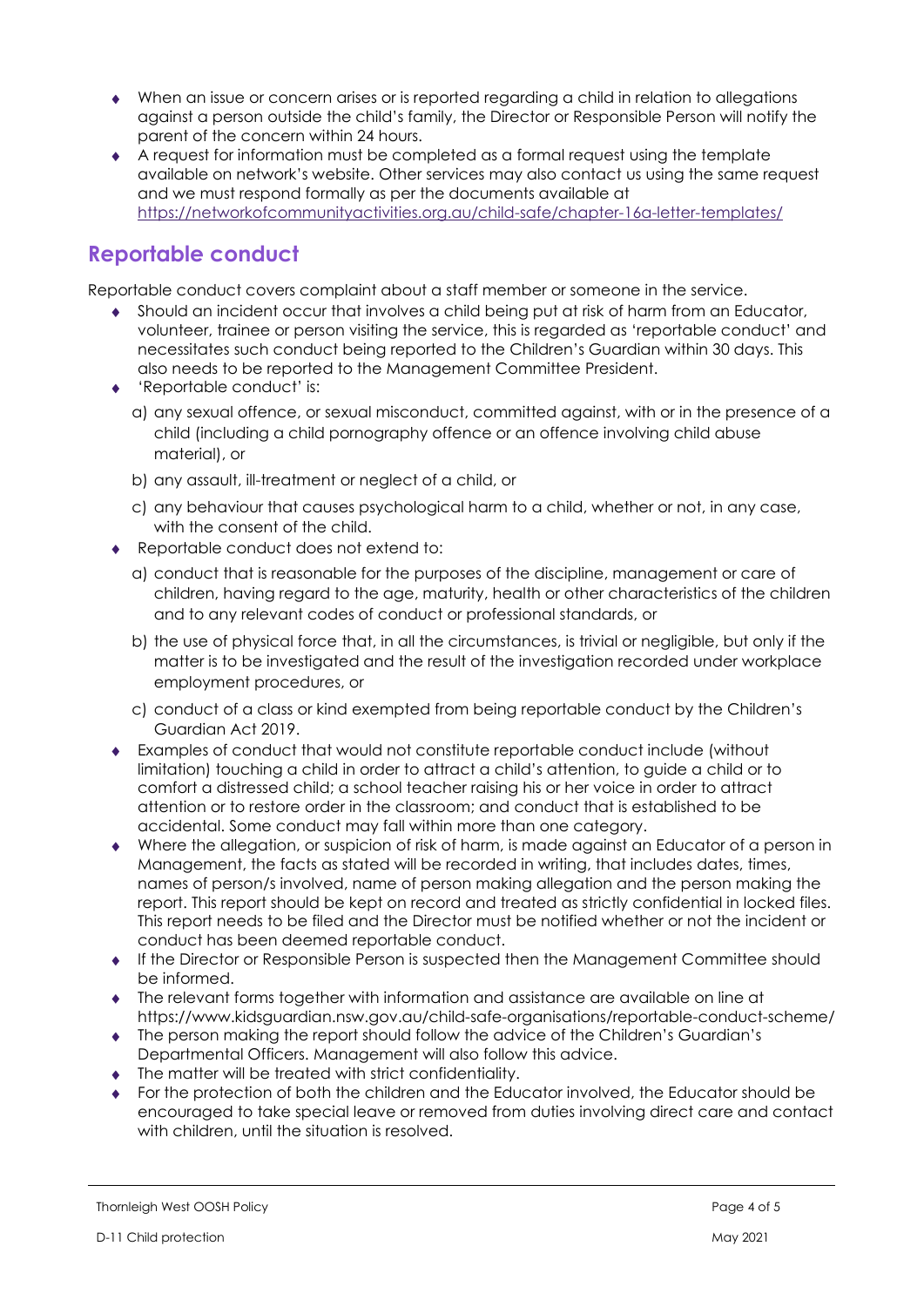- When an issue or concern arises or is reported regarding a child in relation to allegations against a person outside the child's family, the Director or Responsible Person will notify the parent of the concern within 24 hours.
- A request for information must be completed as a formal request using the template available on network's website. Other services may also contact us using the same request and we must respond formally as per the documents available at https://networkofcommunityactivities.org.au/child-safe/chapter-16a-letter-templates/

## Reportable conduct

Reportable conduct covers complaint about a staff member or someone in the service.

- Should an incident occur that involves a child being put at risk of harm from an Educator, volunteer, trainee or person visiting the service, this is regarded as 'reportable conduct' and necessitates such conduct being reported to the Children's Guardian within 30 days. This also needs to be reported to the Management Committee President.
- ◆ 'Reportable conduct' is:
	- a) any sexual offence, or sexual misconduct, committed against, with or in the presence of a child (including a child pornography offence or an offence involving child abuse material), or
	- b) any assault, ill-treatment or neglect of a child, or
	- c) any behaviour that causes psychological harm to a child, whether or not, in any case, with the consent of the child.
- Reportable conduct does not extend to:
	- a) conduct that is reasonable for the purposes of the discipline, management or care of children, having regard to the age, maturity, health or other characteristics of the children and to any relevant codes of conduct or professional standards, or
	- b) the use of physical force that, in all the circumstances, is trivial or negligible, but only if the matter is to be investigated and the result of the investigation recorded under workplace employment procedures, or
	- c) conduct of a class or kind exempted from being reportable conduct by the Children's Guardian Act 2019.
- Examples of conduct that would not constitute reportable conduct include (without limitation) touching a child in order to attract a child's attention, to guide a child or to comfort a distressed child; a school teacher raising his or her voice in order to attract attention or to restore order in the classroom; and conduct that is established to be accidental. Some conduct may fall within more than one category.
- Where the allegation, or suspicion of risk of harm, is made against an Educator of a person in Management, the facts as stated will be recorded in writing, that includes dates, times, names of person/s involved, name of person making allegation and the person making the report. This report should be kept on record and treated as strictly confidential in locked files. This report needs to be filed and the Director must be notified whether or not the incident or conduct has been deemed reportable conduct.
- If the Director or Responsible Person is suspected then the Management Committee should be informed.
- The relevant forms together with information and assistance are available on line at https://www.kidsguardian.nsw.gov.au/child-safe-organisations/reportable-conduct-scheme/
- The person making the report should follow the advice of the Children's Guardian's Departmental Officers. Management will also follow this advice.
- $\bullet$  The matter will be treated with strict confidentiality.
- For the protection of both the children and the Educator involved, the Educator should be encouraged to take special leave or removed from duties involving direct care and contact with children, until the situation is resolved.